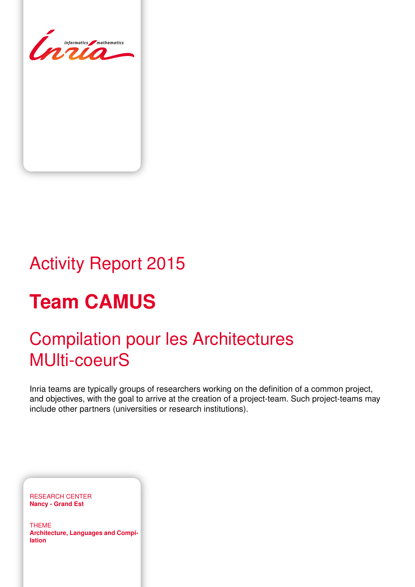<span id="page-0-0"></span>

# Activity Report 2015

# **Team CAMUS**

# Compilation pour les Architectures MUlti-coeurS

Inria teams are typically groups of researchers working on the definition of a common project, and objectives, with the goal to arrive at the creation of a project-team. Such project-teams may include other partners (universities or research institutions).

RESEARCH CENTER **Nancy - Grand Est**

THEME **Architecture, Languages and Compilation**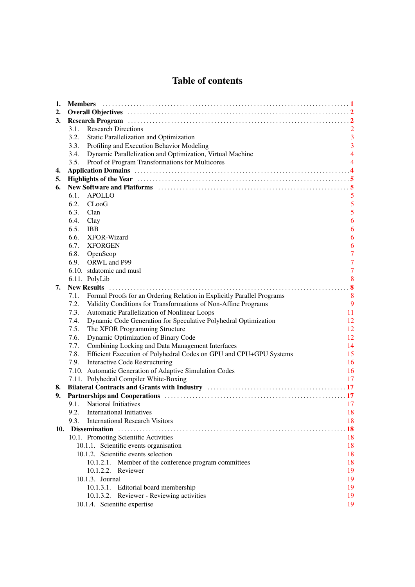# Table of contents

| 1.  | <b>Members</b>                                                                                                                                                                                                                 |                |
|-----|--------------------------------------------------------------------------------------------------------------------------------------------------------------------------------------------------------------------------------|----------------|
| 2.  |                                                                                                                                                                                                                                |                |
| 3.  |                                                                                                                                                                                                                                |                |
|     | <b>Research Directions</b><br>3.1.                                                                                                                                                                                             |                |
|     | 3.2.<br>Static Parallelization and Optimization                                                                                                                                                                                | $\overline{3}$ |
|     | Profiling and Execution Behavior Modeling<br>3.3.                                                                                                                                                                              | $\overline{3}$ |
|     | Dynamic Parallelization and Optimization, Virtual Machine<br>3.4.                                                                                                                                                              | $\overline{4}$ |
|     | 3.5.<br>Proof of Program Transformations for Multicores                                                                                                                                                                        | 4              |
| 4.  |                                                                                                                                                                                                                                |                |
| 5.  |                                                                                                                                                                                                                                |                |
| 6.  | New Software and Platforms (and the context of the state of the state of the state of the state of the state of the state of the state of the state of the state of the state of the state of the state of the state of the st |                |
|     | APOLLO<br>6.1.                                                                                                                                                                                                                 | 5              |
|     | 6.2.<br>$C$ Loo $G$                                                                                                                                                                                                            | 5              |
|     | 6.3.<br>Clan                                                                                                                                                                                                                   | 5              |
|     | 6.4.<br>Clay                                                                                                                                                                                                                   | 6              |
|     | 6.5.<br><b>IBB</b>                                                                                                                                                                                                             | 6              |
|     | 6.6.<br>XFOR-Wizard                                                                                                                                                                                                            | 6              |
|     | 6.7.<br><b>XFORGEN</b>                                                                                                                                                                                                         | 6              |
|     | 6.8.<br>OpenScop                                                                                                                                                                                                               | $\overline{7}$ |
|     | ORWL and P99<br>6.9.                                                                                                                                                                                                           | $\overline{7}$ |
|     | 6.10. stdatomic and musl                                                                                                                                                                                                       | $\overline{7}$ |
|     | 6.11. PolyLib                                                                                                                                                                                                                  | 8              |
| 7.  |                                                                                                                                                                                                                                |                |
|     | Formal Proofs for an Ordering Relation in Explicitly Parallel Programs<br>7.1.                                                                                                                                                 | 8              |
|     | Validity Conditions for Transformations of Non-Affine Programs<br>7.2.                                                                                                                                                         | 9              |
|     | Automatic Parallelization of Nonlinear Loops<br>7.3.                                                                                                                                                                           | 11             |
|     | Dynamic Code Generation for Speculative Polyhedral Optimization<br>7.4.                                                                                                                                                        | 12             |
|     | 7.5.<br>The XFOR Programming Structure                                                                                                                                                                                         | 12             |
|     | Dynamic Optimization of Binary Code<br>7.6.                                                                                                                                                                                    | 12             |
|     | Combining Locking and Data Management Interfaces<br>7.7.                                                                                                                                                                       | 14             |
|     | Efficient Execution of Polyhedral Codes on GPU and CPU+GPU Systems<br>7.8.                                                                                                                                                     | 15             |
|     | 7.9.<br><b>Interactive Code Restructuring</b>                                                                                                                                                                                  | 16             |
|     | 7.10. Automatic Generation of Adaptive Simulation Codes                                                                                                                                                                        | 16             |
|     | 7.11. Polyhedral Compiler White-Boxing                                                                                                                                                                                         | 17             |
| 8.  |                                                                                                                                                                                                                                |                |
| 9.  |                                                                                                                                                                                                                                |                |
|     | <b>National Initiatives</b><br>9.1.                                                                                                                                                                                            | 17             |
|     | 9.2. International Initiatives                                                                                                                                                                                                 | 18             |
|     | <b>International Research Visitors</b><br>9.3.                                                                                                                                                                                 | 18             |
| 10. |                                                                                                                                                                                                                                | 18             |
|     | 10.1. Promoting Scientific Activities                                                                                                                                                                                          | 18             |
|     | 10.1.1. Scientific events organisation                                                                                                                                                                                         | 18             |
|     | 10.1.2. Scientific events selection                                                                                                                                                                                            | 18             |
|     | 10.1.2.1. Member of the conference program committees                                                                                                                                                                          | 18             |
|     | 10.1.2.2. Reviewer                                                                                                                                                                                                             | 19             |
|     | 10.1.3. Journal                                                                                                                                                                                                                | 19             |
|     | 10.1.3.1. Editorial board membership                                                                                                                                                                                           | 19             |
|     | 10.1.3.2. Reviewer - Reviewing activities                                                                                                                                                                                      | 19             |
|     | 10.1.4. Scientific expertise                                                                                                                                                                                                   | 19             |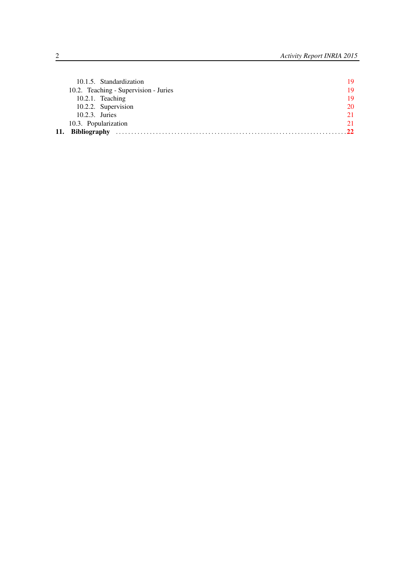|     | 10.1.5. Standardization               | 19        |
|-----|---------------------------------------|-----------|
|     | 10.2. Teaching - Supervision - Juries | 19        |
|     | $10.2.1$ . Teaching                   | 19        |
|     | 10.2.2. Supervision                   | 20        |
|     | 10.2.3. Juries                        | 21        |
|     | 10.3. Popularization                  | 21        |
| 11. | <b>Bibliography</b>                   | <b>22</b> |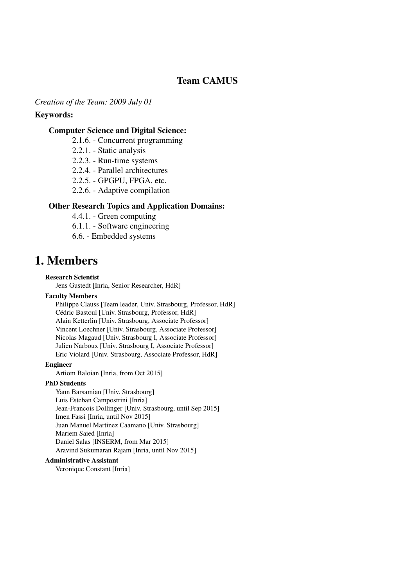# Team CAMUS

*Creation of the Team: 2009 July 01*

#### Keywords:

#### Computer Science and Digital Science:

- 2.1.6. Concurrent programming
- 2.2.1. Static analysis
- 2.2.3. Run-time systems
- 2.2.4. Parallel architectures
- 2.2.5. GPGPU, FPGA, etc.
- 2.2.6. Adaptive compilation

#### Other Research Topics and Application Domains:

- 4.4.1. Green computing
- 6.1.1. Software engineering
- 6.6. Embedded systems

# <span id="page-4-0"></span>1. Members

#### Research Scientist

Jens Gustedt [Inria, Senior Researcher, HdR]

#### Faculty Members

Philippe Clauss [Team leader, Univ. Strasbourg, Professor, HdR] Cédric Bastoul [Univ. Strasbourg, Professor, HdR] Alain Ketterlin [Univ. Strasbourg, Associate Professor] Vincent Loechner [Univ. Strasbourg, Associate Professor] Nicolas Magaud [Univ. Strasbourg I, Associate Professor] Julien Narboux [Univ. Strasbourg I, Associate Professor] Eric Violard [Univ. Strasbourg, Associate Professor, HdR]

#### Engineer

Artiom Baloian [Inria, from Oct 2015]

#### PhD Students

Yann Barsamian [Univ. Strasbourg] Luis Esteban Campostrini [Inria] Jean-Francois Dollinger [Univ. Strasbourg, until Sep 2015] Imen Fassi [Inria, until Nov 2015] Juan Manuel Martinez Caamano [Univ. Strasbourg] Mariem Saied [Inria] Daniel Salas [INSERM, from Mar 2015] Aravind Sukumaran Rajam [Inria, until Nov 2015]

#### Administrative Assistant

Veronique Constant [Inria]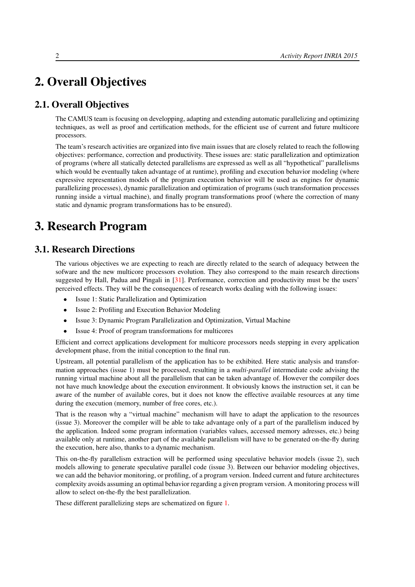# <span id="page-5-0"></span>2. Overall Objectives

# 2.1. Overall Objectives

The CAMUS team is focusing on developping, adapting and extending automatic parallelizing and optimizing techniques, as well as proof and certification methods, for the efficient use of current and future multicore processors.

The team's research activities are organized into five main issues that are closely related to reach the following objectives: performance, correction and productivity. These issues are: static parallelization and optimization of programs (where all statically detected parallelisms are expressed as well as all "hypothetical" parallelisms which would be eventually taken advantage of at runtime), profiling and execution behavior modeling (where expressive representation models of the program execution behavior will be used as engines for dynamic parallelizing processes), dynamic parallelization and optimization of programs (such transformation processes running inside a virtual machine), and finally program transformations proof (where the correction of many static and dynamic program transformations has to be ensured).

# <span id="page-5-1"></span>3. Research Program

# 3.1. Research Directions

<span id="page-5-2"></span>The various objectives we are expecting to reach are directly related to the search of adequacy between the sofware and the new multicore processors evolution. They also correspond to the main research directions suggested by Hall, Padua and Pingali in [\[31\]](#page-27-0). Performance, correction and productivity must be the users' perceived effects. They will be the consequences of research works dealing with the following issues:

- Issue 1: Static Parallelization and Optimization
- Issue 2: Profiling and Execution Behavior Modeling
- Issue 3: Dynamic Program Parallelization and Optimization, Virtual Machine
- Issue 4: Proof of program transformations for multicores

Efficient and correct applications development for multicore processors needs stepping in every application development phase, from the initial conception to the final run.

Upstream, all potential parallelism of the application has to be exhibited. Here static analysis and transformation approaches (issue 1) must be processed, resulting in a *multi-parallel* intermediate code advising the running virtual machine about all the parallelism that can be taken advantage of. However the compiler does not have much knowledge about the execution environment. It obviously knows the instruction set, it can be aware of the number of available cores, but it does not know the effective available resources at any time during the execution (memory, number of free cores, etc.).

That is the reason why a "virtual machine" mechanism will have to adapt the application to the resources (issue 3). Moreover the compiler will be able to take advantage only of a part of the parallelism induced by the application. Indeed some program information (variables values, accessed memory adresses, etc.) being available only at runtime, another part of the available parallelism will have to be generated on-the-fly during the execution, here also, thanks to a dynamic mechanism.

This on-the-fly parallelism extraction will be performed using speculative behavior models (issue 2), such models allowing to generate speculative parallel code (issue 3). Between our behavior modeling objectives, we can add the behavior monitoring, or profiling, of a program version. Indeed current and future architectures complexity avoids assuming an optimal behavior regarding a given program version. A monitoring process will allow to select on-the-fly the best parallelization.

These different parallelizing steps are schematized on figure [1.](#page-6-2)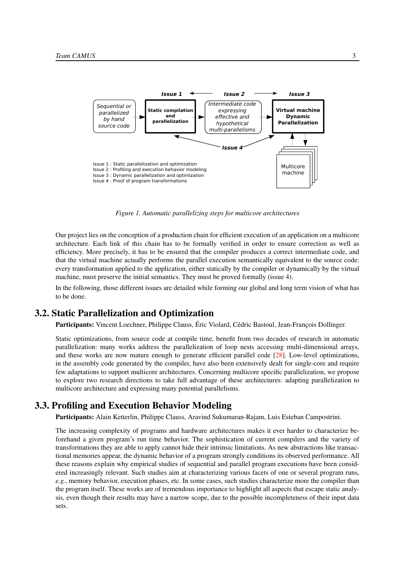<span id="page-6-2"></span>

*Figure 1. Automatic parallelizing steps for multicore architectures*

Our project lies on the conception of a production chain for efficient execution of an application on a multicore architecture. Each link of this chain has to be formally verified in order to ensure correction as well as efficiency. More precisely, it has to be ensured that the compiler produces a correct intermediate code, and that the virtual machine actually performs the parallel execution semantically equivalent to the source code: every transformation applied to the application, either statically by the compiler or dynamically by the virtual machine, must preserve the initial semantics. They must be proved formally (issue 4).

In the following, those different issues are detailed while forming our global and long term vision of what has to be done.

#### 3.2. Static Parallelization and Optimization

<span id="page-6-0"></span>Participants: Vincent Loechner, Philippe Clauss, Éric Violard, Cédric Bastoul, Jean-François Dollinger.

Static optimizations, from source code at compile time, benefit from two decades of research in automatic parallelization: many works address the parallelization of loop nests accessing multi-dimensional arrays, and these works are now mature enough to generate efficient parallel code [\[28\]](#page-27-1). Low-level optimizations, in the assembly code generated by the compiler, have also been extensively dealt for single-core and require few adaptations to support multicore architectures. Concerning multicore specific parallelization, we propose to explore two research directions to take full advantage of these architectures: adapting parallelization to multicore architecture and expressing many potential parallelisms.

### 3.3. Profiling and Execution Behavior Modeling

<span id="page-6-1"></span>Participants: Alain Ketterlin, Philippe Clauss, Aravind Sukumaran-Rajam, Luis Esteban Campostrini.

The increasing complexity of programs and hardware architectures makes it ever harder to characterize beforehand a given program's run time behavior. The sophistication of current compilers and the variety of transformations they are able to apply cannot hide their intrinsic limitations. As new abstractions like transactional memories appear, the dynamic behavior of a program strongly conditions its observed performance. All these reasons explain why empirical studies of sequential and parallel program executions have been considered increasingly relevant. Such studies aim at characterizing various facets of one or several program runs, *e.g.*, memory behavior, execution phases, etc. In some cases, such studies characterize more the compiler than the program itself. These works are of tremendous importance to highlight all aspects that escape static analysis, even though their results may have a narrow scope, due to the possible incompleteness of their input data sets.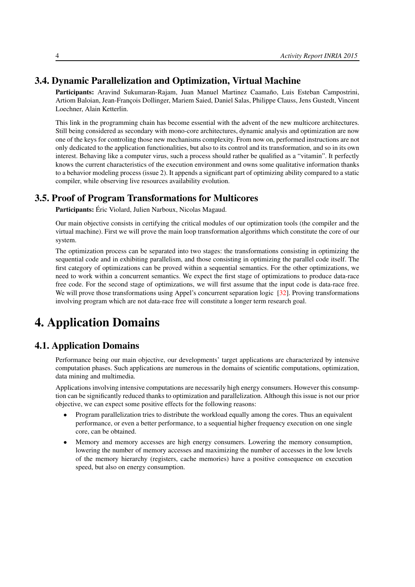## 3.4. Dynamic Parallelization and Optimization, Virtual Machine

<span id="page-7-0"></span>Participants: Aravind Sukumaran-Rajam, Juan Manuel Martinez Caamaño, Luis Esteban Campostrini, Artiom Baloian, Jean-François Dollinger, Mariem Saied, Daniel Salas, Philippe Clauss, Jens Gustedt, Vincent Loechner, Alain Ketterlin.

This link in the programming chain has become essential with the advent of the new multicore architectures. Still being considered as secondary with mono-core architectures, dynamic analysis and optimization are now one of the keys for controling those new mechanisms complexity. From now on, performed instructions are not only dedicated to the application functionalities, but also to its control and its transformation, and so in its own interest. Behaving like a computer virus, such a process should rather be qualified as a "vitamin". It perfectly knows the current characteristics of the execution environment and owns some qualitative information thanks to a behavior modeling process (issue 2). It appends a significant part of optimizing ability compared to a static compiler, while observing live resources availability evolution.

#### 3.5. Proof of Program Transformations for Multicores

<span id="page-7-1"></span>Participants: Éric Violard, Julien Narboux, Nicolas Magaud.

Our main objective consists in certifying the critical modules of our optimization tools (the compiler and the virtual machine). First we will prove the main loop transformation algorithms which constitute the core of our system.

The optimization process can be separated into two stages: the transformations consisting in optimizing the sequential code and in exhibiting parallelism, and those consisting in optimizing the parallel code itself. The first category of optimizations can be proved within a sequential semantics. For the other optimizations, we need to work within a concurrent semantics. We expect the first stage of optimizations to produce data-race free code. For the second stage of optimizations, we will first assume that the input code is data-race free. We will prove those transformations using Appel's concurrent separation logic [\[32\]](#page-27-2). Proving transformations involving program which are not data-race free will constitute a longer term research goal.

# <span id="page-7-2"></span>4. Application Domains

### 4.1. Application Domains

Performance being our main objective, our developments' target applications are characterized by intensive computation phases. Such applications are numerous in the domains of scientific computations, optimization, data mining and multimedia.

Applications involving intensive computations are necessarily high energy consumers. However this consumption can be significantly reduced thanks to optimization and parallelization. Although this issue is not our prior objective, we can expect some positive effects for the following reasons:

- Program parallelization tries to distribute the workload equally among the cores. Thus an equivalent performance, or even a better performance, to a sequential higher frequency execution on one single core, can be obtained.
- Memory and memory accesses are high energy consumers. Lowering the memory consumption, lowering the number of memory accesses and maximizing the number of accesses in the low levels of the memory hierarchy (registers, cache memories) have a positive consequence on execution speed, but also on energy consumption.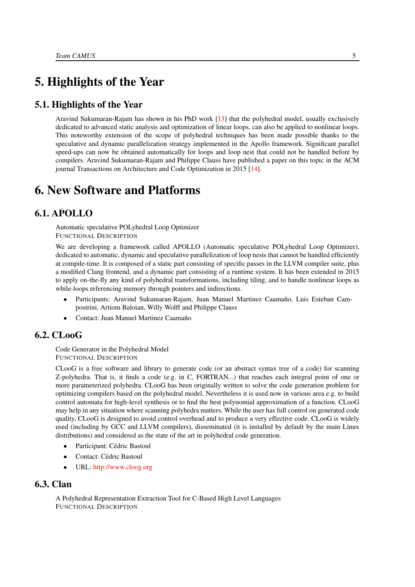# <span id="page-8-0"></span>5. Highlights of the Year

# 5.1. Highlights of the Year

Aravind Sukumaran-Rajam has shown in his PhD work [\[13\]](#page-26-0) that the polyhedral model, usually exclusively dedicated to advanced static analysis and optimization of linear loops, can also be applied to nonlinear loops. This noteworthy extension of the scope of polyhedral techniques has been made possible thanks to the speculative and dynamic parallelization strategy implemented in the Apollo framework. Significant parallel speed-ups can now be obtained automatically for loops and loop nest that could not be handled before by compilers. Aravind Sukumaran-Rajam and Philippe Clauss have published a paper on this topic in the ACM journal Transactions on Architecture and Code Optimization in 2015 [\[14\]](#page-26-1).

# <span id="page-8-1"></span>6. New Software and Platforms

## 6.1. APOLLO

<span id="page-8-2"></span>Automatic speculative POLyhedral Loop Optimizer FUNCTIONAL DESCRIPTION

We are developing a framework called APOLLO (Automatic speculative POLyhedral Loop Optimizer), dedicated to automatic, dynamic and speculative parallelization of loop nests that cannot be handled efficiently at compile-time. It is composed of a static part consisting of specific passes in the LLVM compiler suite, plus a modified Clang frontend, and a dynamic part consisting of a runtime system. It has been extended in 2015 to apply on-the-fly any kind of polyhedral transformations, including tiling, and to handle nonlinear loops as while-loops referencing memory through pointers and indirections.

- Participants: Aravind Sukumaran-Rajam, Juan Manuel Martinez Caamaño, Luis Esteban Campostrini, Artiom Baloian, Willy Wolff and Philippe Clauss
- <span id="page-8-3"></span>• Contact: Juan Manuel Martinez Caamaño

## 6.2. CLooG

Code Generator in the Polyhedral Model FUNCTIONAL DESCRIPTION

CLooG is a free software and library to generate code (or an abstract syntax tree of a code) for scanning Z-polyhedra. That is, it finds a code (e.g. in C, FORTRAN...) that reaches each integral point of one or more parameterized polyhedra. CLooG has been originally written to solve the code generation problem for optimizing compilers based on the polyhedral model. Nevertheless it is used now in various area e.g. to build control automata for high-level synthesis or to find the best polynomial approximation of a function. CLooG may help in any situation where scanning polyhedra matters. While the user has full control on generated code quality, CLooG is designed to avoid control overhead and to produce a very effective code. CLooG is widely used (including by GCC and LLVM compilers), disseminated (it is installed by default by the main Linux distributions) and considered as the state of the art in polyhedral code generation.

- Participant: Cédric Bastoul
- Contact: Cédric Bastoul
- <span id="page-8-4"></span>• URL: <http://www.cloog.org>

# 6.3. Clan

A Polyhedral Representation Extraction Tool for C-Based High Level Languages FUNCTIONAL DESCRIPTION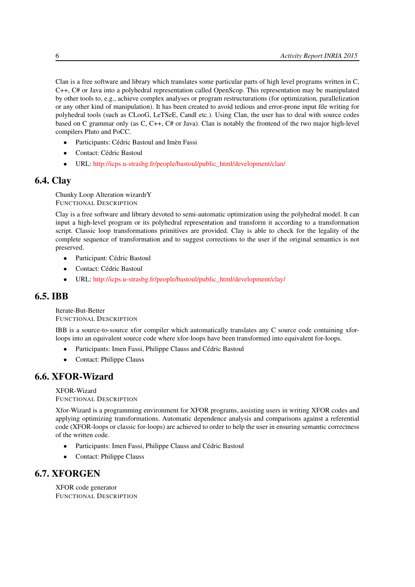Clan is a free software and library which translates some particular parts of high level programs written in C, C++, C# or Java into a polyhedral representation called OpenScop. This representation may be manipulated by other tools to, e.g., achieve complex analyses or program restructurations (for optimization, parallelization or any other kind of manipulation). It has been created to avoid tedious and error-prone input file writing for polyhedral tools (such as CLooG, LeTSeE, Candl etc.). Using Clan, the user has to deal with source codes based on C grammar only (as C, C++, C# or Java). Clan is notably the frontend of the two major high-level compilers Pluto and PoCC.

- Participants: Cédric Bastoul and Imèn Fassi
- Contact: Cédric Bastoul
- <span id="page-9-0"></span>• URL: [http://icps.u-strasbg.fr/people/bastoul/public\\_html/development/clan/](http://icps.u-strasbg.fr/people/bastoul/public_html/development/clan/)

# 6.4. Clay

Chunky Loop Alteration wizardrY FUNCTIONAL DESCRIPTION

Clay is a free software and library devoted to semi-automatic optimization using the polyhedral model. It can input a high-level program or its polyhedral representation and transform it according to a transformation script. Classic loop transformations primitives are provided. Clay is able to check for the legality of the complete sequence of transformation and to suggest corrections to the user if the original semantics is not preserved.

- Participant: Cédric Bastoul
- Contact: Cédric Bastoul
- <span id="page-9-1"></span>• URL: [http://icps.u-strasbg.fr/people/bastoul/public\\_html/development/clay/](http://icps.u-strasbg.fr/people/bastoul/public_html/development/clay/)

## 6.5. IBB

Iterate-But-Better FUNCTIONAL DESCRIPTION

IBB is a source-to-source xfor compiler which automatically translates any C source code containing xforloops into an equivalent source code where xfor-loops have been transformed into equivalent for-loops.

- Participants: Imen Fassi, Philippe Clauss and Cédric Bastoul
- <span id="page-9-2"></span>• Contact: Philippe Clauss

# 6.6. XFOR-Wizard

XFOR-Wizard FUNCTIONAL DESCRIPTION

Xfor-Wizard is a programming environment for XFOR programs, assisting users in writing XFOR codes and applying optimizing transformations. Automatic dependence analysis and comparisons against a referential code (XFOR-loops or classic for-loops) are achieved to order to help the user in ensuring semantic correctness of the written code.

- Participants: Imen Fassi, Philippe Clauss and Cédric Bastoul
- <span id="page-9-3"></span>• Contact: Philippe Clauss

# 6.7. XFORGEN

XFOR code generator FUNCTIONAL DESCRIPTION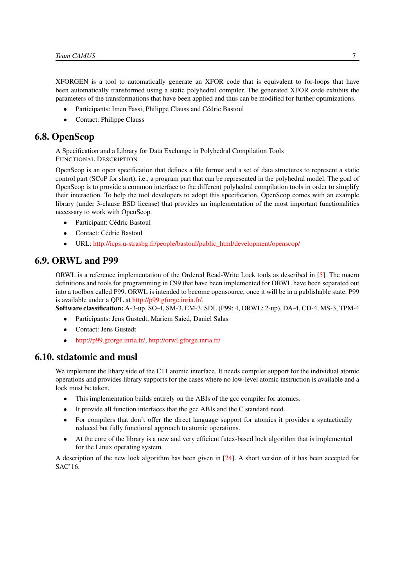XFORGEN is a tool to automatically generate an XFOR code that is equivalent to for-loops that have been automatically transformed using a static polyhedral compiler. The generated XFOR code exhibits the parameters of the transformations that have been applied and thus can be modified for further optimizations.

- Participants: Imen Fassi, Philippe Clauss and Cédric Bastoul
- <span id="page-10-0"></span>• Contact: Philippe Clauss

## 6.8. OpenScop

A Specification and a Library for Data Exchange in Polyhedral Compilation Tools FUNCTIONAL DESCRIPTION

OpenScop is an open specification that defines a file format and a set of data structures to represent a static control part (SCoP for short), i.e., a program part that can be represented in the polyhedral model. The goal of OpenScop is to provide a common interface to the different polyhedral compilation tools in order to simplify their interaction. To help the tool developers to adopt this specification, OpenScop comes with an example library (under 3-clause BSD license) that provides an implementation of the most important functionalities necessary to work with OpenScop.

- Participant: Cédric Bastoul
- Contact: Cédric Bastoul
- <span id="page-10-1"></span>• URL: [http://icps.u-strasbg.fr/people/bastoul/public\\_html/development/openscop/](http://icps.u-strasbg.fr/people/bastoul/public_html/development/openscop/)

#### 6.9. ORWL and P99

ORWL is a reference implementation of the Ordered Read-Write Lock tools as described in [\[5\]](#page-25-1). The macro definitions and tools for programming in C99 that have been implemented for ORWL have been separated out into a toolbox called P99. ORWL is intended to become opensource, once it will be in a publishable state. P99 is available under a QPL at [http://p99.gforge.inria.fr/.](http://p99.gforge.inria.fr/)

Software classification: A-3-up, SO-4, SM-3, EM-3, SDL (P99: 4, ORWL: 2-up), DA-4, CD-4, MS-3, TPM-4

- Participants: Jens Gustedt, Mariem Saied, Daniel Salas
- Contact: Jens Gustedt
- <span id="page-10-2"></span>• [http://p99.gforge.inria.fr/,](http://p99.gforge.inria.fr/) <http://orwl.gforge.inria.fr/>

#### 6.10. stdatomic and musl

We implement the libary side of the C11 atomic interface. It needs compiler support for the individual atomic operations and provides library supports for the cases where no low-level atomic instruction is available and a lock must be taken.

- This implementation builds entirely on the ABIs of the gcc compiler for atomics.
- It provide all function interfaces that the gcc ABIs and the C standard need.
- For compilers that don't offer the direct language support for atomics it provides a syntactically reduced but fully functional approach to atomic operations.
- At the core of the library is a new and very efficient futex-based lock algorithm that is implemented for the Linux operating system.

A description of the new lock algorithm has been given in [\[24\]](#page-27-3). A short version of it has been accepted for SAC'16.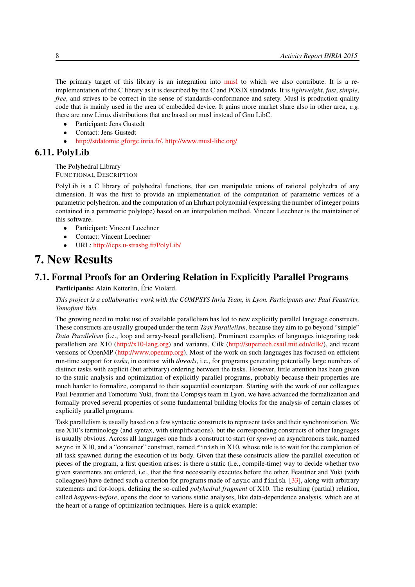The primary target of this library is an integration into [musl](http://www.musl-libc.org/) to which we also contribute. It is a reimplementation of the C library as it is described by the C and POSIX standards. It is *lightweight*, *fast*, *simple*, *free*, and strives to be correct in the sense of standards-conformance and safety. Musl is production quality code that is mainly used in the area of embedded device. It gains more market share also in other area, *e.g.* there are now Linux distributions that are based on musl instead of Gnu LibC.

- Participant: Jens Gustedt
- Contact: Jens Gustedt
- <span id="page-11-0"></span>• [http://stdatomic.gforge.inria.fr/,](http://stdatomic.gforge.inria.fr/) <http://www.musl-libc.org/>

#### 6.11. PolyLib

The Polyhedral Library FUNCTIONAL DESCRIPTION

PolyLib is a C library of polyhedral functions, that can manipulate unions of rational polyhedra of any dimension. It was the first to provide an implementation of the computation of parametric vertices of a parametric polyhedron, and the computation of an Ehrhart polynomial (expressing the number of integer points contained in a parametric polytope) based on an interpolation method. Vincent Loechner is the maintainer of this software.

- Participant: Vincent Loechner
- Contact: Vincent Loechner
- <span id="page-11-1"></span>• URL: <http://icps.u-strasbg.fr/PolyLib/>

# 7. New Results

## 7.1. Formal Proofs for an Ordering Relation in Explicitly Parallel Programs

<span id="page-11-2"></span>Participants: Alain Ketterlin, Éric Violard.

*This project is a collaborative work with the COMPSYS Inria Team, in Lyon. Participants are: Paul Feautrier, Tomofumi Yuki.*

The growing need to make use of available parallelism has led to new explicitly parallel language constructs. These constructs are usually grouped under the term *Task Parallelism*, because they aim to go beyond "simple" *Data Parallelism* (i.e., loop and array-based parallelism). Prominent examples of languages integrating task parallelism are X10 [\(http://x10-lang.org\)](http://x10-lang.org) and variants, Cilk [\(http://supertech.csail.mit.edu/cilk/\)](http://supertech.csail.mit.edu/cilk/), and recent versions of OpenMP [\(http://www.openmp.org\)](http://www.openmp.org). Most of the work on such languages has focused on efficient run-time support for *tasks*, in contrast with *threads*, i.e., for programs generating potentially large numbers of distinct tasks with explicit (but arbitrary) ordering between the tasks. However, little attention has been given to the static analysis and optimization of explicitly parallel programs, probably because their properties are much harder to formalize, compared to their sequential counterpart. Starting with the work of our colleagues Paul Feautrier and Tomofumi Yuki, from the Compsys team in Lyon, we have advanced the formalization and formally proved several properties of some fundamental building blocks for the analysis of certain classes of explicitly parallel programs.

Task parallelism is usually based on a few syntactic constructs to represent tasks and their synchronization. We use X10's terminology (and syntax, with simplifications), but the corresponding constructs of other languages is usually obvious. Across all languages one finds a construct to start (or *spawn*) an asynchronous task, named async in X10, and a "container" construct, named finish in X10, whose role is to wait for the completion of all task spawned during the execution of its body. Given that these constructs allow the parallel execution of pieces of the program, a first question arises: is there a static (i.e., compile-time) way to decide whether two given statements are ordered, i.e., that the first necessarily executes before the other. Feautrier and Yuki (with colleagues) have defined such a criterion for programs made of async and finish [\[33\]](#page-27-4), along with arbitrary statements and for-loops, defining the so-called *polyhedral fragment* of X10. The resulting (partial) relation, called *happens-before*, opens the door to various static analyses, like data-dependence analysis, which are at the heart of a range of optimization techniques. Here is a quick example: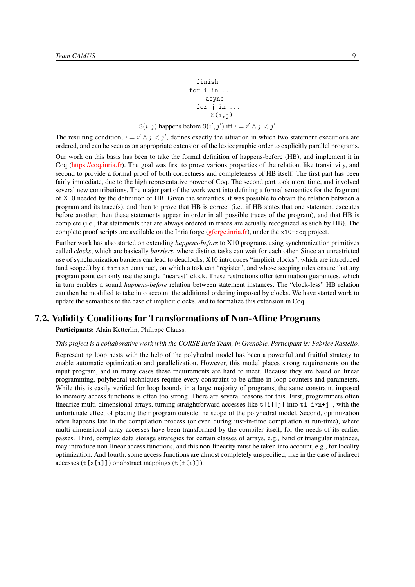#### finish for i in ... async for j in ...  $S(i,j)$  $S(i, j)$  happens before  $S(i', j')$  iff  $i = i' \wedge j < j'$

The resulting condition,  $i = i' \wedge j < j'$ , defines exactly the situation in which two statement executions are ordered, and can be seen as an appropriate extension of the lexicographic order to explicitly parallel programs.

Our work on this basis has been to take the formal definition of happens-before (HB), and implement it in Coq [\(https://coq.inria.fr\)](https://coq.inria.fr). The goal was first to prove various properties of the relation, like transitivity, and second to provide a formal proof of both correctness and completeness of HB itself. The first part has been fairly immediate, due to the high representative power of Coq. The second part took more time, and involved several new contributions. The major part of the work went into defining a formal semantics for the fragment of X10 needed by the definition of HB. Given the semantics, it was possible to obtain the relation between a program and its trace(s), and then to prove that HB is correct (i.e., if HB states that one statement executes before another, then these statements appear in order in all possible traces of the program), and that HB is complete (i.e., that statements that are always ordered in traces are actually recognized as such by HB). The complete proof scripts are available on the Inria forge [\(gforge.inria.fr\)](gforge.inria.fr), under the x10-coq project.

Further work has also started on extending *happens-before* to X10 programs using synchronization primitives called *clocks*, which are basically *barriers*, where distinct tasks can wait for each other. Since an unrestricted use of synchronization barriers can lead to deadlocks, X10 introduces "implicit clocks", which are introduced (and scoped) by a finish construct, on which a task can "register", and whose scoping rules ensure that any program point can only use the single "nearest" clock. These restrictions offer termination guarantees, which in turn enables a sound *happens-before* relation between statement instances. The "clock-less" HB relation can then be modified to take into account the additional ordering imposed by clocks. We have started work to update the semantics to the case of implicit clocks, and to formalize this extension in Coq.

# 7.2. Validity Conditions for Transformations of Non-Affine Programs

<span id="page-12-0"></span>Participants: Alain Ketterlin, Philippe Clauss.

#### *This project is a collaborative work with the CORSE Inria Team, in Grenoble. Participant is: Fabrice Rastello.*

Representing loop nests with the help of the polyhedral model has been a powerful and fruitful strategy to enable automatic optimization and parallelization. However, this model places strong requirements on the input program, and in many cases these requirements are hard to meet. Because they are based on linear programming, polyhedral techniques require every constraint to be affine in loop counters and parameters. While this is easily verified for loop bounds in a large majority of programs, the same constraint imposed to memory access functions is often too strong. There are several reasons for this. First, programmers often linearize multi-dimensional arrays, turning straightforward accesses like  $t[i]$ [j] into  $t1[i*n+j]$ , with the unfortunate effect of placing their program outside the scope of the polyhedral model. Second, optimization often happens late in the compilation process (or even during just-in-time compilation at run-time), where multi-dimensional array accesses have been transformed by the compiler itself, for the needs of its earlier passes. Third, complex data storage strategies for certain classes of arrays, e.g., band or triangular matrices, may introduce non-linear access functions, and this non-linearity must be taken into account, e.g., for locality optimization. And fourth, some access functions are almost completely unspecified, like in the case of indirect accesses  $(t[s[i]])$  or abstract mappings  $(t[f(i)]$ .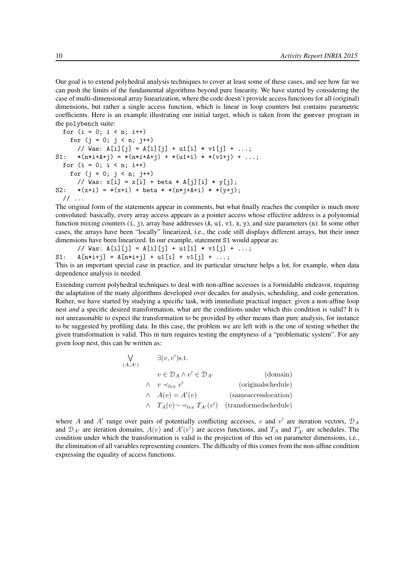Our goal is to extend polyhedral analysis techniques to cover at least some of these cases, and see how far we can push the limits of the fundamental algorithms beyond pure linearity. We have started by considering the case of multi-dimensional array linearization, where the code doesn't provide access functions for all (original) dimensions, but rather a single access function, which is linear in loop counters but contains parametric coefficients. Here is an example illustrating our initial target, which is taken from the gemver program in the polybench suite:

```
for (i = 0; i < n; i++)for (j = 0; j < n; j++)// Was: A[i][j] = A[i][j] + u1[i] * v1[j] + ...;S1: *(n * i + A + j) = *(n * i + A + j) + *(u1 + i) * *(v1 + j) + ...;for (i = 0; i < n; i++)for (j = 0; j < n; j++)// Was: x[i] = x[i] + \text{beta} * A[j][i] * y[j];S2: *(x+i) = *(x+i) + beta * *(n*j+A+i) * *(y+j);\frac{1}{2}...
```
The original form of the statements appear in comments, but what finally reaches the compiler is much more convoluted: basically, every array access appears as a pointer access whose effective address is a polynomial function mixing counters  $(i, j)$ , array base addresses  $(A, u1, v1, x, y)$ , and size parameters  $(n)$ . In some other cases, the arrays have been "locally" linearized, i.e., the code still displays different arrays, but their inner dimensions have been linearized. In our example, statement S1 would appear as:

// Was:  $A[i][j] = A[i][j] + u1[i] * v1[j] + ...;$ S1:  $A[n*1+j] = A[n*1+j] + u1[i] + v1[j] + ...;$ This is an important special case in practice, and its particular structure helps a lot, for example, when data

dependence analysis is needed.

Extending current polyhedral techniques to deal with non-affine accesses is a formidable endeavor, requiring the adaptation of the many algorithms developed over decades for analysis, scheduling, and code generation. Rather, we have started by studying a specific task, with immediate practical impact: given a non-affine loop nest *and* a specific desired transformation, what are the conditions under which this condition is valid? It is not unreasonable to expect the transformation to be provided by other means than pure analysis, for instance to be suggested by profiling data. In this case, the problem we are left with is the one of testing whether the given transformation is valid. This in turn requires testing the emptyness of a "problematic system". For any given loop nest, this can be written as:

```
W
(A, A)\exists (v, v')s.t.
              v \in \mathcal{D}_A \wedge v' \in \mathcal{D}_{A'} (domain)
         \wedge v \prec_{lex} v'(originalschedule)
         \wedge A(v) = A'(v) (sameaccesslocation)
         \wedge T_A(v) \neg \prec_{lex} T_{A'}(v') (transformedschedule)
```
where A and A' range over pairs of potentially conflicting accesses, v and v' are iteration vectors,  $\mathcal{D}_A$ and  $\mathcal{D}_{A'}$  are iteration domains,  $A(v)$  and  $A'(v')$  are access functions, and  $T_A$  and  $T'_{A'}$  are schedules. The condition under which the transformation is valid is the projection of this set on parameter dimensions, i.e., the elimination of all variables representing counters. The difficulty of this comes from the non-affine condition expressing the equality of access functions.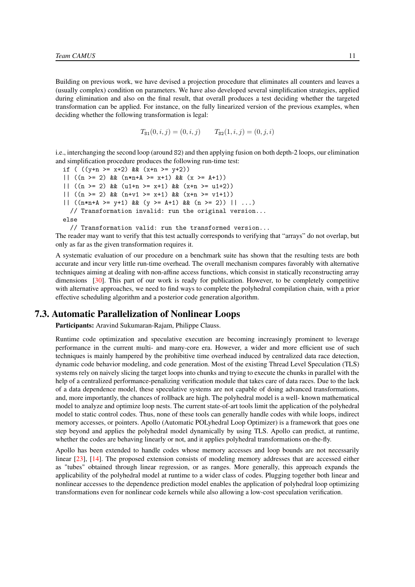Building on previous work, we have devised a projection procedure that eliminates all counters and leaves a (usually complex) condition on parameters. We have also developed several simplification strategies, applied during elimination and also on the final result, that overall produces a test deciding whether the targeted transformation can be applied. For instance, on the fully linearized version of the previous examples, when deciding whether the following transformation is legal:

$$
T_{\text{S1}}(0, i, j) = (0, i, j) \qquad T_{\text{S2}}(1, i, j) = (0, j, i)
$$

i.e., interchanging the second loop (around S2) and then applying fusion on both depth-2 loops, our elimination and simplification procedure produces the following run-time test:

if (  $((y+n) = x+2)$  &  $(x+n) = y+2)$ ) ||  $((n \ge 2) \& (n*n+A) = x+1) \& (x \ge 4+1))$ || ((n >= 2) && (u1+n >= x+1) && (x+n >= u1+2)) |  $((n \ge 2) \& (n+v1) = x+1) & (x+n \ge v1+1))$ ||  $((n*n+A) = y+1)$  &&  $(y \ge A+1)$  &&  $(n \ge 2)$  || ...) // Transformation invalid: run the original version... else

// Transformation valid: run the transformed version...

The reader may want to verify that this test actually corresponds to verifying that "arrays" do not overlap, but only as far as the given transformation requires it.

A systematic evaluation of our procedure on a benchmark suite has shown that the resulting tests are both accurate and incur very little run-time overhead. The overall mechanism compares favorably with alternative techniques aiming at dealing with non-affine access functions, which consist in statically reconstructing array dimensions [\[30\]](#page-27-5). This part of our work is ready for publication. However, to be completely competitive with alternative approaches, we need to find ways to complete the polyhedral compilation chain, with a prior effective scheduling algorithm and a posterior code generation algorithm.

#### 7.3. Automatic Parallelization of Nonlinear Loops

<span id="page-14-0"></span>Participants: Aravind Sukumaran-Rajam, Philippe Clauss.

Runtime code optimization and speculative execution are becoming increasingly prominent to leverage performance in the current multi- and many-core era. However, a wider and more efficient use of such techniques is mainly hampered by the prohibitive time overhead induced by centralized data race detection, dynamic code behavior modeling, and code generation. Most of the existing Thread Level Speculation (TLS) systems rely on naively slicing the target loops into chunks and trying to execute the chunks in parallel with the help of a centralized performance-penalizing verification module that takes care of data races. Due to the lack of a data dependence model, these speculative systems are not capable of doing advanced transformations, and, more importantly, the chances of rollback are high. The polyhedral model is a well- known mathematical model to analyze and optimize loop nests. The current state-of-art tools limit the application of the polyhedral model to static control codes. Thus, none of these tools can generally handle codes with while loops, indirect memory accesses, or pointers. Apollo (Automatic POLyhedral Loop Optimizer) is a framework that goes one step beyond and applies the polyhedral model dynamically by using TLS. Apollo can predict, at runtime, whether the codes are behaving linearly or not, and it applies polyhedral transformations on-the-fly.

Apollo has been extended to handle codes whose memory accesses and loop bounds are not necessarily linear [\[23\]](#page-27-6), [\[14\]](#page-26-1). The proposed extension consists of modeling memory addresses that are accessed either as "tubes" obtained through linear regression, or as ranges. More generally, this approach expands the applicability of the polyhedral model at runtime to a wider class of codes. Plugging together both linear and nonlinear accesses to the dependence prediction model enables the application of polyhedral loop optimizing transformations even for nonlinear code kernels while also allowing a low-cost speculation verification.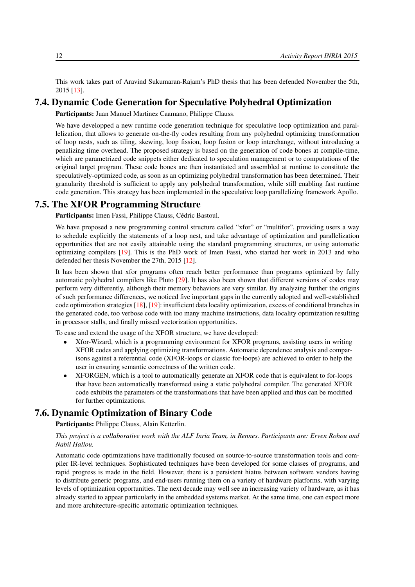This work takes part of Aravind Sukumaran-Rajam's PhD thesis that has been defended November the 5th, 2015 [\[13\]](#page-26-0).

#### 7.4. Dynamic Code Generation for Speculative Polyhedral Optimization

<span id="page-15-0"></span>Participants: Juan Manuel Martinez Caamano, Philippe Clauss.

We have developped a new runtime code generation technique for speculative loop optimization and parallelization, that allows to generate on-the-fly codes resulting from any polyhedral optimizing transformation of loop nests, such as tiling, skewing, loop fission, loop fusion or loop interchange, without introducing a penalizing time overhead. The proposed strategy is based on the generation of code bones at compile-time, which are parametrized code snippets either dedicated to speculation management or to computations of the original target program. These code bones are then instantiated and assembled at runtime to constitute the speculatively-optimized code, as soon as an optimizing polyhedral transformation has been determined. Their granularity threshold is sufficient to apply any polyhedral transformation, while still enabling fast runtime code generation. This strategy has been implemented in the speculative loop parallelizing framework Apollo.

### 7.5. The XFOR Programming Structure

<span id="page-15-1"></span>Participants: Imen Fassi, Philippe Clauss, Cédric Bastoul.

We have proposed a new programming control structure called "xfor" or "multifor", providing users a way to schedule explicitly the statements of a loop nest, and take advantage of optimization and parallelization opportunities that are not easily attainable using the standard programming structures, or using automatic optimizing compilers [\[19\]](#page-26-2). This is the PhD work of Imen Fassi, who started her work in 2013 and who defended her thesis November the 27th, 2015 [\[12\]](#page-26-3).

It has been shown that xfor programs often reach better performance than programs optimized by fully automatic polyhedral compilers like Pluto [\[29\]](#page-27-7). It has also been shown that different versions of codes may perform very differently, although their memory behaviors are very similar. By analyzing further the origins of such performance differences, we noticed five important gaps in the currently adopted and well-established code optimization strategies [\[18\]](#page-26-4), [\[19\]](#page-26-2): insufficient data locality optimization, excess of conditional branches in the generated code, too verbose code with too many machine instructions, data locality optimization resulting in processor stalls, and finally missed vectorization opportunities.

To ease and extend the usage of the XFOR structure, we have developed:

- Xfor-Wizard, which is a programming environment for XFOR programs, assisting users in writing XFOR codes and applying optimizing transformations. Automatic dependence analysis and comparisons against a referential code (XFOR-loops or classic for-loops) are achieved to order to help the user in ensuring semantic correctness of the written code.
- XFORGEN, which is a tool to automatically generate an XFOR code that is equivalent to for-loops that have been automatically transformed using a static polyhedral compiler. The generated XFOR code exhibits the parameters of the transformations that have been applied and thus can be modified for further optimizations.

## 7.6. Dynamic Optimization of Binary Code

<span id="page-15-2"></span>Participants: Philippe Clauss, Alain Ketterlin.

#### *This project is a collaborative work with the ALF Inria Team, in Rennes. Participants are: Erven Rohou and Nabil Hallou.*

Automatic code optimizations have traditionally focused on source-to-source transformation tools and compiler IR-level techniques. Sophisticated techniques have been developed for some classes of programs, and rapid progress is made in the field. However, there is a persistent hiatus between software vendors having to distribute generic programs, and end-users running them on a variety of hardware platforms, with varying levels of optimization opportunities. The next decade may well see an increasing variety of hardware, as it has already started to appear particularly in the embedded systems market. At the same time, one can expect more and more architecture-specific automatic optimization techniques.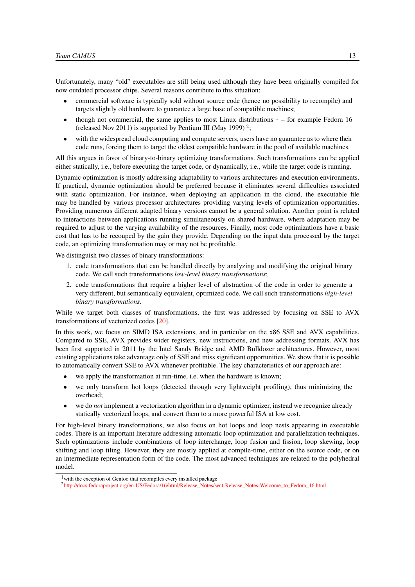Unfortunately, many "old" executables are still being used although they have been originally compiled for now outdated processor chips. Several reasons contribute to this situation:

- commercial software is typically sold without source code (hence no possibility to recompile) and targets slightly old hardware to guarantee a large base of compatible machines;
- though not commercial, the same applies to most Linux distributions  $1 -$  for example Fedora 16 (released Nov 2011) is supported by Pentium III (May 1999)<sup>2</sup>;
- with the widespread cloud computing and compute servers, users have no guarantee as to where their code runs, forcing them to target the oldest compatible hardware in the pool of available machines.

All this argues in favor of binary-to-binary optimizing transformations. Such transformations can be applied either statically, i.e., before executing the target code, or dynamically, i.e., while the target code is running.

Dynamic optimization is mostly addressing adaptability to various architectures and execution environments. If practical, dynamic optimization should be preferred because it eliminates several difficulties associated with static optimization. For instance, when deploying an application in the cloud, the executable file may be handled by various processor architectures providing varying levels of optimization opportunities. Providing numerous different adapted binary versions cannot be a general solution. Another point is related to interactions between applications running simultaneously on shared hardware, where adaptation may be required to adjust to the varying availability of the resources. Finally, most code optimizations have a basic cost that has to be recouped by the gain they provide. Depending on the input data processed by the target code, an optimizing transformation may or may not be profitable.

We distinguish two classes of binary transformations:

- 1. code transformations that can be handled directly by analyzing and modifying the original binary code. We call such transformations *low-level binary transformations*;
- 2. code transformations that require a higher level of abstraction of the code in order to generate a very different, but semantically equivalent, optimized code. We call such transformations *high-level binary transformations*.

While we target both classes of transformations, the first was addressed by focusing on SSE to AVX transformations of vectorized codes [\[20\]](#page-26-5).

In this work, we focus on SIMD ISA extensions, and in particular on the x86 SSE and AVX capabilities. Compared to SSE, AVX provides wider registers, new instructions, and new addressing formats. AVX has been first supported in 2011 by the Intel Sandy Bridge and AMD Bulldozer architectures. However, most existing applications take advantage only of SSE and miss significant opportunities. We show that it is possible to automatically convert SSE to AVX whenever profitable. The key characteristics of our approach are:

- we apply the transformation at run-time, i.e. when the hardware is known;
- we only transform hot loops (detected through very lightweight profiling), thus minimizing the overhead;
- we do *not* implement a vectorization algorithm in a dynamic optimizer, instead we recognize already statically vectorized loops, and convert them to a more powerful ISA at low cost.

For high-level binary transformations, we also focus on hot loops and loop nests appearing in executable codes. There is an important literature addressing automatic loop optimization and parallelization techniques. Such optimizations include combinations of loop interchange, loop fusion and fission, loop skewing, loop shifting and loop tiling. However, they are mostly applied at compile-time, either on the source code, or on an intermediate representation form of the code. The most advanced techniques are related to the polyhedral model.

<sup>&</sup>lt;sup>1</sup> with the exception of Gentoo that recompiles every installed package

<sup>2</sup> [http://docs.fedoraproject.org/en-US/Fedora/16/html/Release\\_Notes/sect-Release\\_Notes-Welcome\\_to\\_Fedora\\_16.html](http://docs.fedoraproject.org/en-US/Fedora/16/html/Release_Notes/sect-Release_Notes-Welcome_to_Fedora_16.html)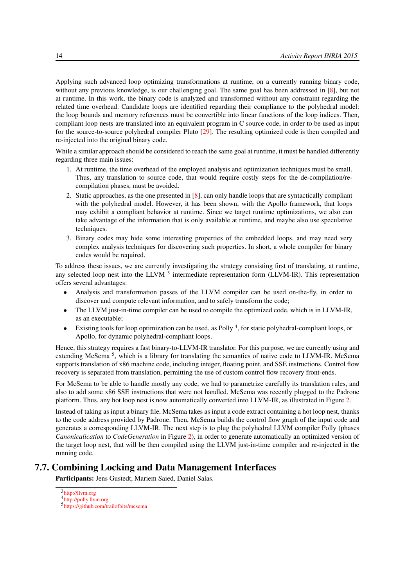Applying such advanced loop optimizing transformations at runtime, on a currently running binary code, without any previous knowledge, is our challenging goal. The same goal has been addressed in [\[8\]](#page-25-2), but not at runtime. In this work, the binary code is analyzed and transformed without any constraint regarding the related time overhead. Candidate loops are identified regarding their compliance to the polyhedral model: the loop bounds and memory references must be convertible into linear functions of the loop indices. Then, compliant loop nests are translated into an equivalent program in C source code, in order to be used as input for the source-to-source polyhedral compiler Pluto [\[29\]](#page-27-7). The resulting optimized code is then compiled and re-injected into the original binary code.

While a similar approach should be considered to reach the same goal at runtime, it must be handled differently regarding three main issues:

- 1. At runtime, the time overhead of the employed analysis and optimization techniques must be small. Thus, any translation to source code, that would require costly steps for the de-compilation/recompilation phases, must be avoided.
- 2. Static approaches, as the one presented in [\[8\]](#page-25-2), can only handle loops that are syntactically compliant with the polyhedral model. However, it has been shown, with the Apollo framework, that loops may exhibit a compliant behavior at runtime. Since we target runtime optimizations, we also can take advantage of the information that is only available at runtime, and maybe also use speculative techniques.
- 3. Binary codes may hide some interesting properties of the embedded loops, and may need very complex analysis techniques for discovering such properties. In short, a whole compiler for binary codes would be required.

To address these issues, we are currently investigating the strategy consisting first of translating, at runtime, any selected loop nest into the LLVM <sup>3</sup> intermediate representation form (LLVM-IR). This representation offers several advantages:

- Analysis and transformation passes of the LLVM compiler can be used on-the-fly, in order to discover and compute relevant information, and to safely transform the code;
- The LLVM just-in-time compiler can be used to compile the optimized code, which is in LLVM-IR, as an executable;
- Existing tools for loop optimization can be used, as Polly <sup>4</sup>, for static polyhedral-compliant loops, or Apollo, for dynamic polyhedral-compliant loops.

Hence, this strategy requires a fast binary-to-LLVM-IR translator. For this purpose, we are currently using and extending McSema<sup>5</sup>, which is a library for translating the semantics of native code to LLVM-IR. McSema supports translation of x86 machine code, including integer, floating point, and SSE instructions. Control flow recovery is separated from translation, permitting the use of custom control flow recovery front-ends.

For McSema to be able to handle mostly any code, we had to parametrize carefully its translation rules, and also to add some x86 SSE instructions that were not handled. McSema was recently plugged to the Padrone platform. Thus, any hot loop nest is now automatically converted into LLVM-IR, as illustrated in Figure [2.](#page-18-1)

Instead of taking as input a binary file, McSema takes as input a code extract containing a hot loop nest, thanks to the code address provided by Padrone. Then, McSema builds the control flow graph of the input code and generates a corresponding LLVM-IR. The next step is to plug the polyhedral LLVM compiler Polly (phases *Canonicalication* to *CodeGeneration* in Figure [2\)](#page-18-1), in order to generate automatically an optimized version of the target loop nest, that will be then compiled using the LLVM just-in-time compiler and re-injected in the running code.

### 7.7. Combining Locking and Data Management Interfaces

<span id="page-17-0"></span>Participants: Jens Gustedt, Mariem Saied, Daniel Salas.

<sup>3</sup> <http://llvm.org>

<sup>4</sup> <http://polly.llvm.org>

<sup>5</sup> <https://github.com/trailofbits/mcsema>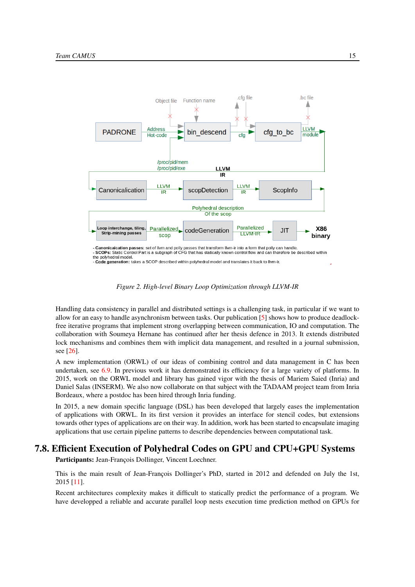<span id="page-18-1"></span>

*Figure 2. High-level Binary Loop Optimization through LLVM-IR*

Handling data consistency in parallel and distributed settings is a challenging task, in particular if we want to allow for an easy to handle asynchronism between tasks. Our publication  $[5]$  shows how to produce deadlockfree iterative programs that implement strong overlapping between communication, IO and computation. The collaboration with Soumeya Hernane has continued after her thesis defence in 2013. It extends distributed lock mechanisms and combines them with implicit data management, and resulted in a journal submission, see [\[26\]](#page-27-8).

A new implementation (ORWL) of our ideas of combining control and data management in C has been undertaken, see [6.9.](#page-10-1) In previous work it has demonstrated its efficiency for a large variety of platforms. In 2015, work on the ORWL model and library has gained vigor with the thesis of Mariem Saied (Inria) and Daniel Salas (INSERM). We also now collaborate on that subject with the TADAAM project team from Inria Bordeaux, where a postdoc has been hired through Inria funding.

In 2015, a new domain specific language (DSL) has been developed that largely eases the implementation of applications with ORWL. In its first version it provides an interface for stencil codes, but extensions towards other types of applications are on their way. In addition, work has been started to encapsulate imaging applications that use certain pipeline patterns to describe dependencies between computational task.

# 7.8. Efficient Execution of Polyhedral Codes on GPU and CPU+GPU Systems

<span id="page-18-0"></span>Participants: Jean-François Dollinger, Vincent Loechner.

This is the main result of Jean-François Dollinger's PhD, started in 2012 and defended on July the 1st, 2015 [\[11\]](#page-26-6).

Recent architectures complexity makes it difficult to statically predict the performance of a program. We have developped a reliable and accurate parallel loop nests execution time prediction method on GPUs for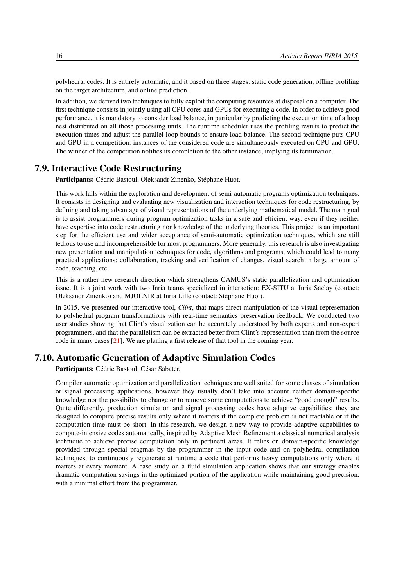polyhedral codes. It is entirely automatic, and it based on three stages: static code generation, offline profiling on the target architecture, and online prediction.

In addition, we derived two techniques to fully exploit the computing resources at disposal on a computer. The first technique consists in jointly using all CPU cores and GPUs for executing a code. In order to achieve good performance, it is mandatory to consider load balance, in particular by predicting the execution time of a loop nest distributed on all those processing units. The runtime scheduler uses the profiling results to predict the execution times and adjust the parallel loop bounds to ensure load balance. The second technique puts CPU and GPU in a competition: instances of the considered code are simultaneously executed on CPU and GPU. The winner of the competition notifies its completion to the other instance, implying its termination.

#### 7.9. Interactive Code Restructuring

<span id="page-19-0"></span>Participants: Cédric Bastoul, Oleksandr Zinenko, Stéphane Huot.

This work falls within the exploration and development of semi-automatic programs optimization techniques. It consists in designing and evaluating new visualization and interaction techniques for code restructuring, by defining and taking advantage of visual representations of the underlying mathematical model. The main goal is to assist programmers during program optimization tasks in a safe and efficient way, even if they neither have expertise into code restructuring nor knowledge of the underlying theories. This project is an important step for the efficient use and wider acceptance of semi-automatic optimization techniques, which are still tedious to use and incomprehensible for most programmers. More generally, this research is also investigating new presentation and manipulation techniques for code, algorithms and programs, which could lead to many practical applications: collaboration, tracking and verification of changes, visual search in large amount of code, teaching, etc.

This is a rather new research direction which strengthens CAMUS's static parallelization and optimization issue. It is a joint work with two Inria teams specialized in interaction: EX-SITU at Inria Saclay (contact: Oleksandr Zinenko) and MJOLNIR at Inria Lille (contact: Stéphane Huot).

In 2015, we presented our interactive tool, *Clint*, that maps direct manipulation of the visual representation to polyhedral program transformations with real-time semantics preservation feedback. We conducted two user studies showing that Clint's visualization can be accurately understood by both experts and non-expert programmers, and that the parallelism can be extracted better from Clint's representation than from the source code in many cases [\[21\]](#page-26-7). We are planing a first release of that tool in the coming year.

## 7.10. Automatic Generation of Adaptive Simulation Codes

<span id="page-19-1"></span>Participants: Cédric Bastoul, César Sabater.

Compiler automatic optimization and parallelization techniques are well suited for some classes of simulation or signal processing applications, however they usually don't take into account neither domain-specific knowledge nor the possibility to change or to remove some computations to achieve "good enough" results. Quite differently, production simulation and signal processing codes have adaptive capabilities: they are designed to compute precise results only where it matters if the complete problem is not tractable or if the computation time must be short. In this research, we design a new way to provide adaptive capabilities to compute-intensive codes automatically, inspired by Adaptive Mesh Refinement a classical numerical analysis technique to achieve precise computation only in pertinent areas. It relies on domain-specific knowledge provided through special pragmas by the programmer in the input code and on polyhedral compilation techniques, to continuously regenerate at runtime a code that performs heavy computations only where it matters at every moment. A case study on a fluid simulation application shows that our strategy enables dramatic computation savings in the optimized portion of the application while maintaining good precision, with a minimal effort from the programmer.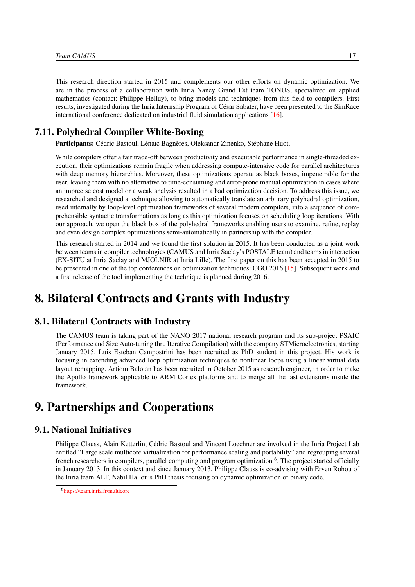This research direction started in 2015 and complements our other efforts on dynamic optimization. We are in the process of a collaboration with Inria Nancy Grand Est team TONUS, specialized on applied mathematics (contact: Philippe Helluy), to bring models and techniques from this field to compilers. First results, investigated during the Inria Internship Program of César Sabater, have been presented to the SimRace international conference dedicated on industrial fluid simulation applications [\[16\]](#page-26-8).

## 7.11. Polyhedral Compiler White-Boxing

<span id="page-20-0"></span>Participants: Cédric Bastoul, Lénaïc Bagnères, Oleksandr Zinenko, Stéphane Huot.

While compilers offer a fair trade-off between productivity and executable performance in single-threaded execution, their optimizations remain fragile when addressing compute-intensive code for parallel architectures with deep memory hierarchies. Moreover, these optimizations operate as black boxes, impenetrable for the user, leaving them with no alternative to time-consuming and error-prone manual optimization in cases where an imprecise cost model or a weak analysis resulted in a bad optimization decision. To address this issue, we researched and designed a technique allowing to automatically translate an arbitrary polyhedral optimization, used internally by loop-level optimization frameworks of several modern compilers, into a sequence of comprehensible syntactic transformations as long as this optimization focuses on scheduling loop iterations. With our approach, we open the black box of the polyhedral frameworks enabling users to examine, refine, replay and even design complex optimizations semi-automatically in partnership with the compiler.

This research started in 2014 and we found the first solution in 2015. It has been conducted as a joint work between teams in compiler technologies (CAMUS and Inria Saclay's POSTALE team) and teams in interaction (EX-SITU at Inria Saclay and MJOLNIR at Inria Lille). The first paper on this has been accepted in 2015 to be presented in one of the top conferences on optimization techniques: CGO 2016 [\[15\]](#page-26-9). Subsequent work and a first release of the tool implementing the technique is planned during 2016.

# <span id="page-20-1"></span>8. Bilateral Contracts and Grants with Industry

# 8.1. Bilateral Contracts with Industry

The CAMUS team is taking part of the NANO 2017 national research program and its sub-project PSAIC (Performance and Size Auto-tuning thru Iterative Compilation) with the company STMicroelectronics, starting January 2015. Luis Esteban Campostrini has been recruited as PhD student in this project. His work is focusing in extending advanced loop optimization techniques to nonlinear loops using a linear virtual data layout remapping. Artiom Baloian has been recruited in October 2015 as research engineer, in order to make the Apollo framework applicable to ARM Cortex platforms and to merge all the last extensions inside the framework.

# <span id="page-20-2"></span>9. Partnerships and Cooperations

# 9.1. National Initiatives

<span id="page-20-3"></span>Philippe Clauss, Alain Ketterlin, Cédric Bastoul and Vincent Loechner are involved in the Inria Project Lab entitled "Large scale multicore virtualization for performance scaling and portability" and regrouping several french researchers in compilers, parallel computing and program optimization <sup>6</sup>. The project started officially in January 2013. In this context and since January 2013, Philippe Clauss is co-advising with Erven Rohou of the Inria team ALF, Nabil Hallou's PhD thesis focusing on dynamic optimization of binary code.

<sup>6</sup> <https://team.inria.fr/multicore>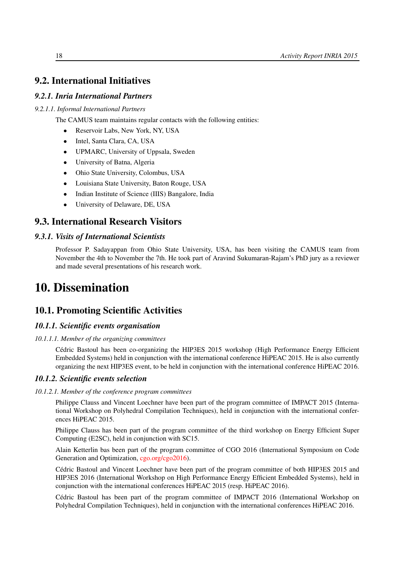# <span id="page-21-0"></span>9.2. International Initiatives

#### *9.2.1. Inria International Partners*

#### *9.2.1.1. Informal International Partners*

- The CAMUS team maintains regular contacts with the following entities:
	- Reservoir Labs, New York, NY, USA
	- Intel, Santa Clara, CA, USA
	- UPMARC, University of Uppsala, Sweden
	- University of Batna, Algeria
	- Ohio State University, Colombus, USA
	- Louisiana State University, Baton Rouge, USA
	- Indian Institute of Science (IIIS) Bangalore, India
	- University of Delaware, DE, USA

#### <span id="page-21-1"></span>9.3. International Research Visitors

#### *9.3.1. Visits of International Scientists*

Professor P. Sadayappan from Ohio State University, USA, has been visiting the CAMUS team from November the 4th to November the 7th. He took part of Aravind Sukumaran-Rajam's PhD jury as a reviewer and made several presentations of his research work.

# <span id="page-21-2"></span>10. Dissemination

## <span id="page-21-3"></span>10.1. Promoting Scientific Activities

#### <span id="page-21-4"></span>*10.1.1. Scientific events organisation*

#### *10.1.1.1. Member of the organizing committees*

Cédric Bastoul has been co-organizing the HIP3ES 2015 workshop (High Performance Energy Efficient Embedded Systems) held in conjunction with the international conference HiPEAC 2015. He is also currently organizing the next HIP3ES event, to be held in conjunction with the international conference HiPEAC 2016.

#### <span id="page-21-5"></span>*10.1.2. Scientific events selection*

#### *10.1.2.1. Member of the conference program committees*

<span id="page-21-6"></span>Philippe Clauss and Vincent Loechner have been part of the program committee of IMPACT 2015 (International Workshop on Polyhedral Compilation Techniques), held in conjunction with the international conferences HiPEAC 2015.

Philippe Clauss has been part of the program committee of the third workshop on Energy Efficient Super Computing (E2SC), held in conjunction with SC15.

Alain Ketterlin bas been part of the program committee of CGO 2016 (International Symposium on Code Generation and Optimization, [cgo.org/cgo2016\)](#page-0-0).

Cédric Bastoul and Vincent Loechner have been part of the program committee of both HIP3ES 2015 and HIP3ES 2016 (International Workshop on High Performance Energy Efficient Embedded Systems), held in conjunction with the international conferences HiPEAC 2015 (resp. HiPEAC 2016).

Cédric Bastoul has been part of the program committee of IMPACT 2016 (International Workshop on Polyhedral Compilation Techniques), held in conjunction with the international conferences HiPEAC 2016.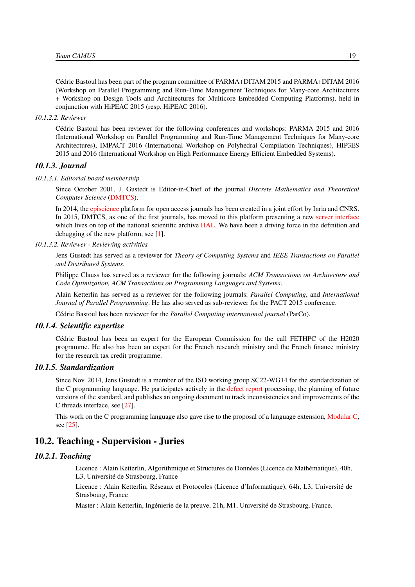Cédric Bastoul has been part of the program committee of PARMA+DITAM 2015 and PARMA+DITAM 2016 (Workshop on Parallel Programming and Run-Time Management Techniques for Many-core Architectures + Workshop on Design Tools and Architectures for Multicore Embedded Computing Platforms), held in conjunction with HiPEAC 2015 (resp. HiPEAC 2016).

#### *10.1.2.2. Reviewer*

<span id="page-22-0"></span>Cédric Bastoul has been reviewer for the following conferences and workshops: PARMA 2015 and 2016 (International Workshop on Parallel Programming and Run-Time Management Techniques for Many-core Architectures), IMPACT 2016 (International Workshop on Polyhedral Compilation Techniques), HIP3ES 2015 and 2016 (International Workshop on High Performance Energy Efficient Embedded Systems).

#### <span id="page-22-1"></span>*10.1.3. Journal*

#### *10.1.3.1. Editorial board membership*

<span id="page-22-2"></span>Since October 2001, J. Gustedt is Editor-in-Chief of the journal *Discrete Mathematics and Theoretical Computer Science* [\(DMTCS\)](http://www.dmtcs.org/).

In 2014, the [episcience](http://www.episciences.org/) platform for open access journals has been created in a joint effort by Inria and CNRS. In 2015, DMTCS, as one of the first journals, has moved to this platform presenting a new [server interface](http://dmtcs.episciences.org/) which lives on top of the national scientific archive [HAL.](http://hal.inria.fr/) We have been a driving force in the definition and debugging of the new platform, see [\[1\]](#page-25-3).

#### *10.1.3.2. Reviewer - Reviewing activities*

<span id="page-22-3"></span>Jens Gustedt has served as a reviewer for *Theory of Computing Systems* and *IEEE Transactions on Parallel and Distributed Systems*.

Philippe Clauss has served as a reviewer for the following journals: *ACM Transactions on Architecture and Code Optimization, ACM Transactions on Programming Languages and Systems*.

Alain Ketterlin has served as a reviewer for the following journals: *Parallel Computing*, and *International Journal of Parallel Programming*. He has also served as sub-reviewer for the PACT 2015 conference.

<span id="page-22-4"></span>Cédric Bastoul has been reviewer for the *Parallel Computing international journal* (ParCo).

#### *10.1.4. Scientific expertise*

Cédric Bastoul has been an expert for the European Commission for the call FETHPC of the H2020 programme. He also has been an expert for the French research ministry and the French finance ministry for the research tax credit programme.

#### *10.1.5. Standardization*

<span id="page-22-5"></span>Since Nov. 2014, Jens Gustedt is a member of the ISO working group SC22-WG14 for the standardization of the C programming language. He participates actively in the [defect report](http://www.open-std.org/jtc1/sc22/wg14/www/docs/summary.htm) processing, the planning of future versions of the standard, and publishes an ongoing document to track inconsistencies and improvements of the C threads interface, see [\[27\]](#page-27-9).

<span id="page-22-6"></span>This work on the C programming language also gave rise to the proposal of a language extension, [Modular C,](http://cmod.gforge.inria.fr/) see [\[25\]](#page-27-10).

#### 10.2. Teaching - Supervision - Juries

#### <span id="page-22-7"></span>*10.2.1. Teaching*

Licence : Alain Ketterlin, Algorithmique et Structures de Données (Licence de Mathématique), 40h, L3, Université de Strasbourg, France

Licence : Alain Ketterlin, Réseaux et Protocoles (Licence d'Informatique), 64h, L3, Université de Strasbourg, France

Master : Alain Ketterlin, Ingénierie de la preuve, 21h, M1, Université de Strasbourg, France.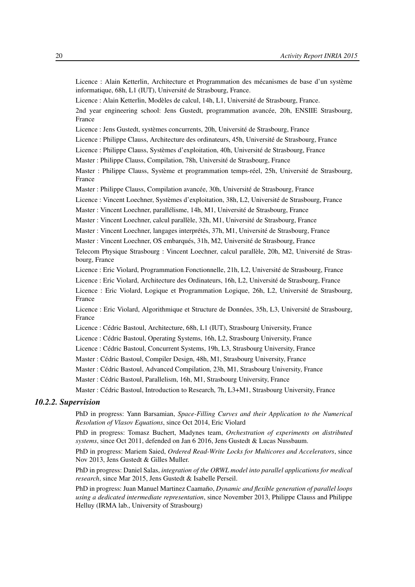Licence : Alain Ketterlin, Architecture et Programmation des mécanismes de base d'un système informatique, 68h, L1 (IUT), Université de Strasbourg, France.

Licence : Alain Ketterlin, Modèles de calcul, 14h, L1, Université de Strasbourg, France. 2nd year engineering school: Jens Gustedt, programmation avancée, 20h, ENSIIE Strasbourg, France

Licence : Jens Gustedt, systèmes concurrents, 20h, Université de Strasbourg, France

Licence : Philippe Clauss, Architecture des ordinateurs, 45h, Université de Strasbourg, France

Licence : Philippe Clauss, Systèmes d'exploitation, 40h, Université de Strasbourg, France

Master : Philippe Clauss, Compilation, 78h, Université de Strasbourg, France

Master : Philippe Clauss, Système et programmation temps-réel, 25h, Université de Strasbourg, France

Master : Philippe Clauss, Compilation avancée, 30h, Université de Strasbourg, France

Licence : Vincent Loechner, Systèmes d'exploitation, 38h, L2, Université de Strasbourg, France

Master : Vincent Loechner, parallélisme, 14h, M1, Université de Strasbourg, France

Master : Vincent Loechner, calcul parallèle, 32h, M1, Université de Strasbourg, France

Master : Vincent Loechner, langages interprétés, 37h, M1, Université de Strasbourg, France

Master : Vincent Loechner, OS embarqués, 31h, M2, Université de Strasbourg, France

Telecom Physique Strasbourg : Vincent Loechner, calcul parallèle, 20h, M2, Université de Strasbourg, France

Licence : Eric Violard, Programmation Fonctionnelle, 21h, L2, Université de Strasbourg, France

Licence : Eric Violard, Architecture des Ordinateurs, 16h, L2, Université de Strasbourg, France

Licence : Eric Violard, Logique et Programmation Logique, 26h, L2, Université de Strasbourg, France

Licence : Eric Violard, Algorithmique et Structure de Données, 35h, L3, Université de Strasbourg, France

- Licence : Cédric Bastoul, Architecture, 68h, L1 (IUT), Strasbourg University, France
- Licence : Cédric Bastoul, Operating Systems, 16h, L2, Strasbourg University, France

Licence : Cédric Bastoul, Concurrent Systems, 19h, L3, Strasbourg University, France

Master : Cédric Bastoul, Compiler Design, 48h, M1, Strasbourg University, France

Master : Cédric Bastoul, Advanced Compilation, 23h, M1, Strasbourg University, France

Master : Cédric Bastoul, Parallelism, 16h, M1, Strasbourg University, France

<span id="page-23-0"></span>Master : Cédric Bastoul, Introduction to Research, 7h, L3+M1, Strasbourg University, France

#### *10.2.2. Supervision*

PhD in progress: Yann Barsamian, *Space-Filling Curves and their Application to the Numerical Resolution of Vlasov Equations*, since Oct 2014, Eric Violard

PhD in progress: Tomasz Buchert, Madynes team, *Orchestration of experiments on distributed systems*, since Oct 2011, defended on Jan 6 2016, Jens Gustedt & Lucas Nussbaum.

PhD in progress: Mariem Saied, *Ordered Read-Write Locks for Multicores and Accelerators*, since Nov 2013, Jens Gustedt & Gilles Muller.

PhD in progress: Daniel Salas, *integration of the ORWL model into parallel applications for medical research*, since Mar 2015, Jens Gustedt & Isabelle Perseil.

PhD in progress: Juan Manuel Martinez Caamaño, *Dynamic and flexible generation of parallel loops using a dedicated intermediate representation*, since November 2013, Philippe Clauss and Philippe Helluy (IRMA lab., University of Strasbourg)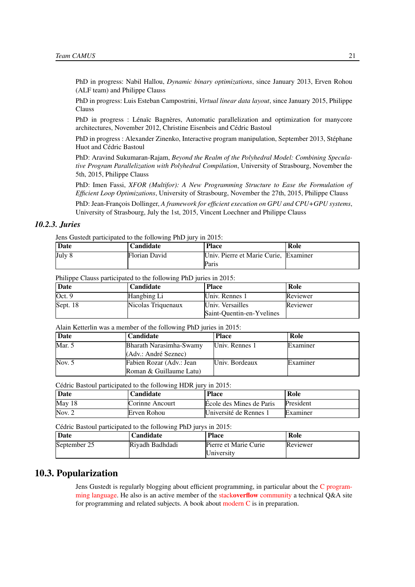PhD in progress: Nabil Hallou, *Dynamic binary optimizations*, since January 2013, Erven Rohou (ALF team) and Philippe Clauss

PhD in progress: Luis Esteban Campostrini, *Virtual linear data layout*, since January 2015, Philippe Clauss

PhD in progress : Lénaïc Bagnères, Automatic parallelization and optimization for manycore architectures, November 2012, Christine Eisenbeis and Cédric Bastoul

PhD in progress : Alexander Zinenko, Interactive program manipulation, September 2013, Stéphane Huot and Cédric Bastoul

PhD: Aravind Sukumaran-Rajam, *Beyond the Realm of the Polyhedral Model: Combining Speculative Program Parallelization with Polyhedral Compilation*, University of Strasbourg, November the 5th, 2015, Philippe Clauss

PhD: Imen Fassi, *XFOR (Multifor): A New Programming Structure to Ease the Formulation of Efficient Loop Optimizations*, University of Strasbourg, November the 27th, 2015, Philippe Clauss

PhD: Jean-François Dollinger, *A framework for efficient execution on GPU and CPU+GPU systems*, University of Strasbourg, July the 1st, 2015, Vincent Loechner and Philippe Clauss

#### *10.2.3. Juries*

<span id="page-24-0"></span>Jens Gustedt participated to the following PhD jury in 2015:

| Date   | Candidate     | <b>Place</b>                          | Role |
|--------|---------------|---------------------------------------|------|
| July 8 | Florian David | Univ. Pierre et Marie Curie, Examiner |      |
|        |               | Paris                                 |      |

Philippe Clauss participated to the following PhD juries in 2015:

| Date       | Candidate          | <b>Place</b>              | Role     |
|------------|--------------------|---------------------------|----------|
| Oct.9      | Hangbing Li        | Univ. Rennes 1            | Reviewer |
| Sept. $18$ | Nicolas Triquenaux | Univ. Versailles          | Reviewer |
|            |                    | Saint-Ouentin-en-Yvelines |          |

Alain Ketterlin was a member of the following PhD juries in 2015:

| Date     | <b>Candidate</b>         | <b>Place</b>   | Role     |
|----------|--------------------------|----------------|----------|
| Mar. 5   | Bharath Narasimha-Swamy  | Univ. Rennes 1 | Examiner |
|          | (Adv.: André Seznec)     |                |          |
| Nov. $5$ | Fabien Rozar (Adv.: Jean | Univ. Bordeaux | Examiner |
|          | Roman & Guillaume Latu)  |                |          |

Cédric Bastoul participated to the following HDR jury in 2015:

| Date   | C <b>andidate</b> | Place                    | Role      |
|--------|-------------------|--------------------------|-----------|
| May 18 | Corinne Ancourt   | Ecole des Mines de Paris | President |
| Nov. 2 | Erven Rohou       | Université de Rennes 1   | Examiner  |

Cédric Bastoul participated to the following PhD jurys in 2015:

| Date         | Candidate       | Place                               | Role     |
|--------------|-----------------|-------------------------------------|----------|
| September 25 | Rivadh Badhdadi | Pierre et Marie Curie<br>University | Reviewer |

#### <span id="page-24-1"></span>10.3. Popularization

Jens Gustedt is regularly blogging about efficient programming, in particular about the [C program](http://gustedt.wordpress.com/)[ming language.](http://gustedt.wordpress.com/) He also is an active member of the stackoverflow [community](http://stackoverflow.com/questions/tagged/c) a technical Q&A site for programming and related subjects. A book about [modern C](http://icube-icps.unistra.fr/img_auth.php/d/db/ModernC.pdf) is in preparation.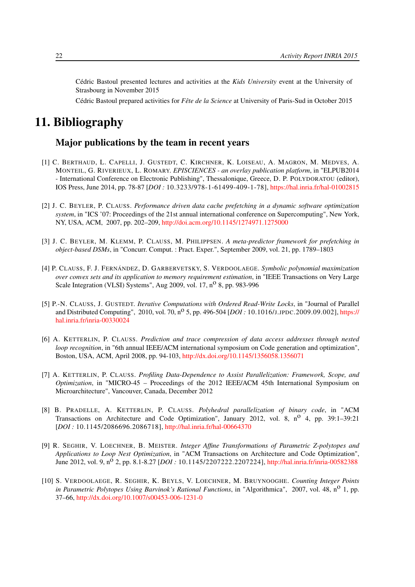Cédric Bastoul presented lectures and activities at the *Kids University* event at the University of Strasbourg in November 2015

Cédric Bastoul prepared activities for *Fête de la Science* at University of Paris-Sud in October 2015

# <span id="page-25-0"></span>11. Bibliography

## Major publications by the team in recent years

- <span id="page-25-3"></span>[1] C. BERTHAUD, L. CAPELLI, J. GUSTEDT, C. KIRCHNER, K. LOISEAU, A. MAGRON, M. MEDVES, A. MONTEIL, G. RIVERIEUX, L. ROMARY. *EPISCIENCES - an overlay publication platform*, in "ELPUB2014 - International Conference on Electronic Publishing", Thessalonique, Greece, D. P. POLYDORATOU (editor), IOS Press, June 2014, pp. 78-87 [*DOI :* 10.3233/978-1-61499-409-1-78], <https://hal.inria.fr/hal-01002815>
- [2] J. C. BEYLER, P. CLAUSS. *Performance driven data cache prefetching in a dynamic software optimization system*, in "ICS '07: Proceedings of the 21st annual international conference on Supercomputing", New York, NY, USA, ACM, 2007, pp. 202–209, <http://doi.acm.org/10.1145/1274971.1275000>
- [3] J. C. BEYLER, M. KLEMM, P. CLAUSS, M. PHILIPPSEN. *A meta-predictor framework for prefetching in object-based DSMs*, in "Concurr. Comput. : Pract. Exper.", September 2009, vol. 21, pp. 1789–1803
- [4] P. CLAUSS, F. J. FERNÁNDEZ, D. GARBERVETSKY, S. VERDOOLAEGE. *Symbolic polynomial maximization over convex sets and its application to memory requirement estimation*, in "IEEE Transactions on Very Large Scale Integration (VLSI) Systems", Aug 2009, vol.  $17, n^0$  8, pp. 983-996
- <span id="page-25-1"></span>[5] P.-N. CLAUSS, J. GUSTEDT. *Iterative Computations with Ordered Read-Write Locks*, in "Journal of Parallel and Distributed Computing", 2010, vol. 70, no 5, pp. 496-504 [*DOI :* 10.1016/J.JPDC.2009.09.002], [https://](https://hal.inria.fr/inria-00330024) [hal.inria.fr/inria-00330024](https://hal.inria.fr/inria-00330024)
- [6] A. KETTERLIN, P. CLAUSS. *Prediction and trace compression of data access addresses through nested loop recognition*, in "6th annual IEEE/ACM international symposium on Code generation and optimization", Boston, USA, ACM, April 2008, pp. 94-103, <http://dx.doi.org/10.1145/1356058.1356071>
- [7] A. KETTERLIN, P. CLAUSS. *Profiling Data-Dependence to Assist Parallelization: Framework, Scope, and Optimization*, in "MICRO-45 – Proceedings of the 2012 IEEE/ACM 45th International Symposium on Microarchitecture", Vancouver, Canada, December 2012
- <span id="page-25-2"></span>[8] B. PRADELLE, A. KETTERLIN, P. CLAUSS. *Polyhedral parallelization of binary code*, in "ACM Transactions on Architecture and Code Optimization", January 2012, vol. 8,  $n^{\circ}$  4, pp. 39:1–39:21 [*DOI :* 10.1145/2086696.2086718], <http://hal.inria.fr/hal-00664370>
- [9] R. SEGHIR, V. LOECHNER, B. MEISTER. *Integer Affine Transformations of Parametric Z-polytopes and Applications to Loop Nest Optimization*, in "ACM Transactions on Architecture and Code Optimization", June 2012, vol. 9, n<sup>o</sup> 2, pp. 8.1-8.27 [*DOI*: 10.1145/2207222.2207224], <http://hal.inria.fr/inria-00582388>
- [10] S. VERDOOLAEGE, R. SEGHIR, K. BEYLS, V. LOECHNER, M. BRUYNOOGHE. *Counting Integer Points in Parametric Polytopes Using Barvinok's Rational Functions*, in "Algorithmica", 2007, vol. 48, n<sup>o</sup> 1, pp. 37–66, <http://dx.doi.org/10.1007/s00453-006-1231-0>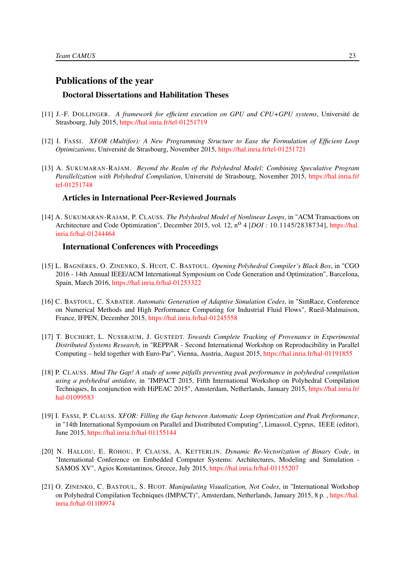#### Publications of the year

#### Doctoral Dissertations and Habilitation Theses

- <span id="page-26-6"></span>[11] J.-F. DOLLINGER. *A framework for efficient execution on GPU and CPU+GPU systems*, Université de Strasbourg, July 2015, <https://hal.inria.fr/tel-01251719>
- <span id="page-26-3"></span>[12] I. FASSI. *XFOR (Multifor): A New Programming Structure to Ease the Formulation of Efficient Loop Optimizations*, Université de Strasbourg, November 2015, <https://hal.inria.fr/tel-01251721>
- <span id="page-26-0"></span>[13] A. SUKUMARAN-RAJAM. *Beyond the Realm of the Polyhedral Model: Combining Speculative Program Parallelization with Polyhedral Compilation*, Université de Strasbourg, November 2015, [https://hal.inria.fr/](https://hal.inria.fr/tel-01251748) [tel-01251748](https://hal.inria.fr/tel-01251748)

#### Articles in International Peer-Reviewed Journals

<span id="page-26-1"></span>[14] A. SUKUMARAN-RAJAM, P. CLAUSS. *The Polyhedral Model of Nonlinear Loops*, in "ACM Transactions on Architecture and Code Optimization", December 2015, vol. 12, n<sup>o</sup> 4 [*DOI*: 10.1145/2838734], [https://hal.](https://hal.inria.fr/hal-01244464) [inria.fr/hal-01244464](https://hal.inria.fr/hal-01244464)

#### International Conferences with Proceedings

- <span id="page-26-9"></span>[15] L. BAGNÈRES, O. ZINENKO, S. HUOT, C. BASTOUL. *Opening Polyhedral Compiler's Black Box*, in "CGO 2016 - 14th Annual IEEE/ACM International Symposium on Code Generation and Optimization", Barcelona, Spain, March 2016, <https://hal.inria.fr/hal-01253322>
- <span id="page-26-8"></span>[16] C. BASTOUL, C. SABATER. *Automatic Generation of Adaptive Simulation Codes*, in "SimRace, Conference on Numerical Methods and High Performance Computing for Industrial Fluid Flows", Rueil-Malmaison, France, IFPEN, December 2015, <https://hal.inria.fr/hal-01245558>
- [17] T. BUCHERT, L. NUSSBAUM, J. GUSTEDT. *Towards Complete Tracking of Provenance in Experimental Distributed Systems Research*, in "REPPAR - Second International Workshop on Reproducibility in Parallel Computing – held together with Euro-Par", Vienna, Austria, August 2015, <https://hal.inria.fr/hal-01191855>
- <span id="page-26-4"></span>[18] P. CLAUSS. *Mind The Gap! A study of some pitfalls preventing peak performance in polyhedral compilation using a polyhedral antidote*, in "IMPACT 2015, Fifth International Workshop on Polyhedral Compilation Techniques, In conjunction with HiPEAC 2015", Amsterdam, Netherlands, January 2015, [https://hal.inria.fr/](https://hal.inria.fr/hal-01099583) [hal-01099583](https://hal.inria.fr/hal-01099583)
- <span id="page-26-2"></span>[19] I. FASSI, P. CLAUSS. *XFOR: Filling the Gap between Automatic Loop Optimization and Peak Performance*, in "14th International Symposium on Parallel and Distributed Computing", Limassol, Cyprus, IEEE (editor), June 2015, <https://hal.inria.fr/hal-01155144>
- <span id="page-26-5"></span>[20] N. HALLOU, E. ROHOU, P. CLAUSS, A. KETTERLIN. *Dynamic Re-Vectorization of Binary Code*, in "International Conference on Embedded Computer Systems: Architectures, Modeling and Simulation - SAMOS XV", Agios Konstantinos, Greece, July 2015, <https://hal.inria.fr/hal-01155207>
- <span id="page-26-7"></span>[21] O. ZINENKO, C. BASTOUL, S. HUOT. *Manipulating Visualization, Not Codes*, in "International Workshop on Polyhedral Compilation Techniques (IMPACT)", Amsterdam, Netherlands, January 2015, 8 p. , [https://hal.](https://hal.inria.fr/hal-01100974) [inria.fr/hal-01100974](https://hal.inria.fr/hal-01100974)